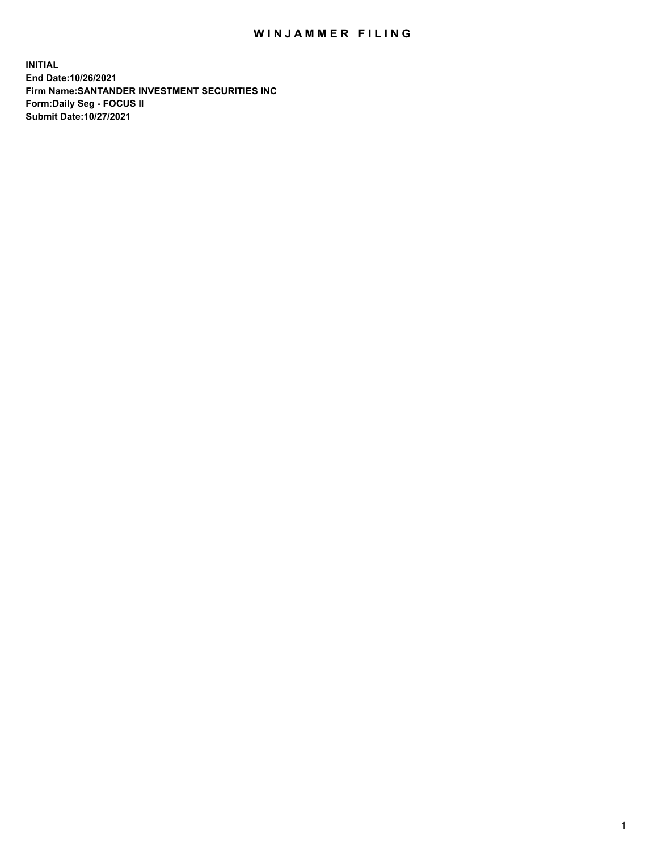## WIN JAMMER FILING

**INITIAL End Date:10/26/2021 Firm Name:SANTANDER INVESTMENT SECURITIES INC Form:Daily Seg - FOCUS II Submit Date:10/27/2021**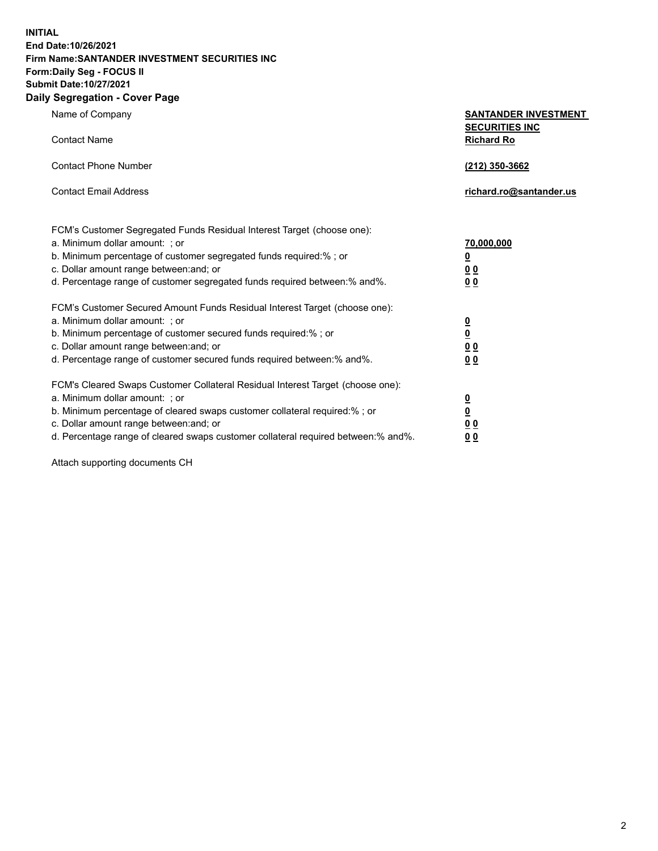**INITIAL End Date:10/26/2021 Firm Name:SANTANDER INVESTMENT SECURITIES INC Form:Daily Seg - FOCUS II Submit Date:10/27/2021 Daily Segregation - Cover Page**

| $-0.9$                                                                            |                                                      |
|-----------------------------------------------------------------------------------|------------------------------------------------------|
| Name of Company                                                                   | <b>SANTANDER INVESTMENT</b><br><b>SECURITIES INC</b> |
| <b>Contact Name</b>                                                               | <b>Richard Ro</b>                                    |
| <b>Contact Phone Number</b>                                                       | (212) 350-3662                                       |
| <b>Contact Email Address</b>                                                      | richard.ro@santander.us                              |
| FCM's Customer Segregated Funds Residual Interest Target (choose one):            |                                                      |
| a. Minimum dollar amount: ; or                                                    | <u>70,000,000</u>                                    |
| b. Minimum percentage of customer segregated funds required:% ; or                | <u>0</u>                                             |
| c. Dollar amount range between: and; or                                           | 00                                                   |
| d. Percentage range of customer segregated funds required between:% and%.         | 0 <sub>0</sub>                                       |
| FCM's Customer Secured Amount Funds Residual Interest Target (choose one):        |                                                      |
| a. Minimum dollar amount: ; or                                                    | $\frac{0}{0}$                                        |
| b. Minimum percentage of customer secured funds required:%; or                    |                                                      |
| c. Dollar amount range between: and; or                                           | 0 <sub>0</sub>                                       |
| d. Percentage range of customer secured funds required between:% and%.            | 0 <sub>0</sub>                                       |
| FCM's Cleared Swaps Customer Collateral Residual Interest Target (choose one):    |                                                      |
| a. Minimum dollar amount: ; or                                                    | $\frac{0}{0}$                                        |
| b. Minimum percentage of cleared swaps customer collateral required:% ; or        |                                                      |
| c. Dollar amount range between: and; or                                           | 00                                                   |
| d. Percentage range of cleared swaps customer collateral required between:% and%. | 00                                                   |

Attach supporting documents CH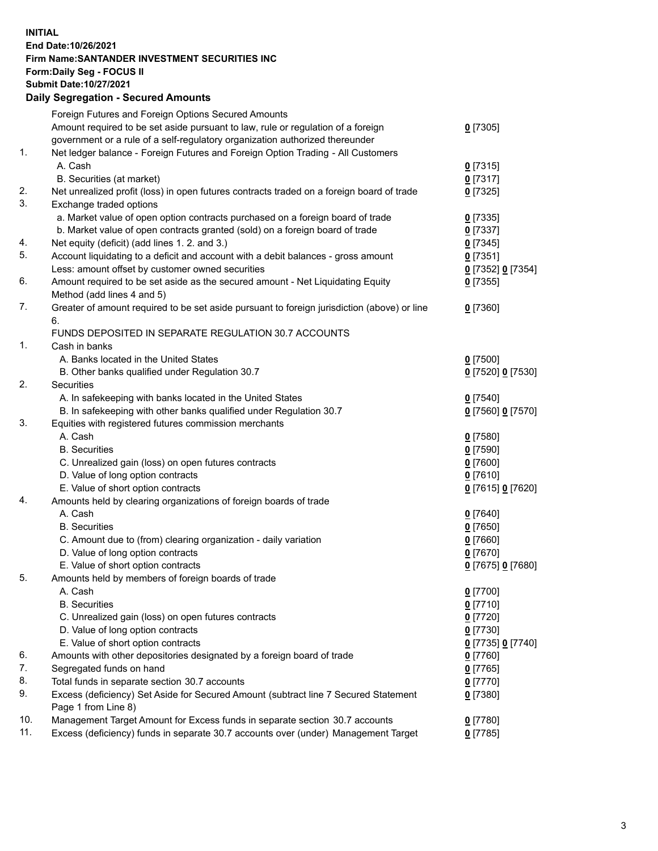## **INITIAL End Date:10/26/2021 Firm Name:SANTANDER INVESTMENT SECURITIES INC Form:Daily Seg - FOCUS II Submit Date:10/27/2021 Daily Segregation - Secured Amounts**

|     | Foreign Futures and Foreign Options Secured Amounts                                         |                   |
|-----|---------------------------------------------------------------------------------------------|-------------------|
|     | Amount required to be set aside pursuant to law, rule or regulation of a foreign            | $0$ [7305]        |
|     | government or a rule of a self-regulatory organization authorized thereunder                |                   |
| 1.  | Net ledger balance - Foreign Futures and Foreign Option Trading - All Customers             |                   |
|     | A. Cash                                                                                     | $0$ [7315]        |
|     | B. Securities (at market)                                                                   | 0[7317]           |
| 2.  | Net unrealized profit (loss) in open futures contracts traded on a foreign board of trade   | $0$ [7325]        |
| 3.  | Exchange traded options                                                                     |                   |
|     | a. Market value of open option contracts purchased on a foreign board of trade              | $0$ [7335]        |
|     | b. Market value of open contracts granted (sold) on a foreign board of trade                | $0$ [7337]        |
| 4.  | Net equity (deficit) (add lines 1. 2. and 3.)                                               | $0$ [7345]        |
| 5.  | Account liquidating to a deficit and account with a debit balances - gross amount           | $0$ [7351]        |
|     | Less: amount offset by customer owned securities                                            | 0 [7352] 0 [7354] |
| 6.  | Amount required to be set aside as the secured amount - Net Liquidating Equity              | $0$ [7355]        |
|     | Method (add lines 4 and 5)                                                                  |                   |
| 7.  | Greater of amount required to be set aside pursuant to foreign jurisdiction (above) or line | $0$ [7360]        |
|     | 6.                                                                                          |                   |
|     | FUNDS DEPOSITED IN SEPARATE REGULATION 30.7 ACCOUNTS                                        |                   |
| 1.  | Cash in banks                                                                               |                   |
|     | A. Banks located in the United States                                                       | $0$ [7500]        |
|     | B. Other banks qualified under Regulation 30.7                                              | 0 [7520] 0 [7530] |
| 2.  | Securities                                                                                  |                   |
|     | A. In safekeeping with banks located in the United States                                   | $0$ [7540]        |
|     | B. In safekeeping with other banks qualified under Regulation 30.7                          | 0 [7560] 0 [7570] |
| 3.  | Equities with registered futures commission merchants                                       |                   |
|     | A. Cash                                                                                     | $0$ [7580]        |
|     | <b>B.</b> Securities                                                                        | $0$ [7590]        |
|     | C. Unrealized gain (loss) on open futures contracts                                         | $0$ [7600]        |
|     | D. Value of long option contracts                                                           | $0$ [7610]        |
|     | E. Value of short option contracts                                                          | 0 [7615] 0 [7620] |
| 4.  | Amounts held by clearing organizations of foreign boards of trade                           |                   |
|     | A. Cash                                                                                     | $0$ [7640]        |
|     | <b>B.</b> Securities                                                                        | $0$ [7650]        |
|     | C. Amount due to (from) clearing organization - daily variation                             | $0$ [7660]        |
|     | D. Value of long option contracts                                                           | $0$ [7670]        |
|     | E. Value of short option contracts                                                          | 0 [7675] 0 [7680] |
| 5.  | Amounts held by members of foreign boards of trade                                          |                   |
|     | A. Cash                                                                                     | $0$ [7700]        |
|     | <b>B.</b> Securities                                                                        | $0$ [7710]        |
|     | C. Unrealized gain (loss) on open futures contracts                                         | $0$ [7720]        |
|     | D. Value of long option contracts                                                           | $0$ [7730]        |
|     | E. Value of short option contracts                                                          | 0 [7735] 0 [7740] |
| 6.  | Amounts with other depositories designated by a foreign board of trade                      | $0$ [7760]        |
| 7.  | Segregated funds on hand                                                                    | $0$ [7765]        |
| 8.  | Total funds in separate section 30.7 accounts                                               | $0$ [7770]        |
| 9.  | Excess (deficiency) Set Aside for Secured Amount (subtract line 7 Secured Statement         | $0$ [7380]        |
|     | Page 1 from Line 8)                                                                         |                   |
| 10. | Management Target Amount for Excess funds in separate section 30.7 accounts                 | $0$ [7780]        |
| 11. | Excess (deficiency) funds in separate 30.7 accounts over (under) Management Target          | $0$ [7785]        |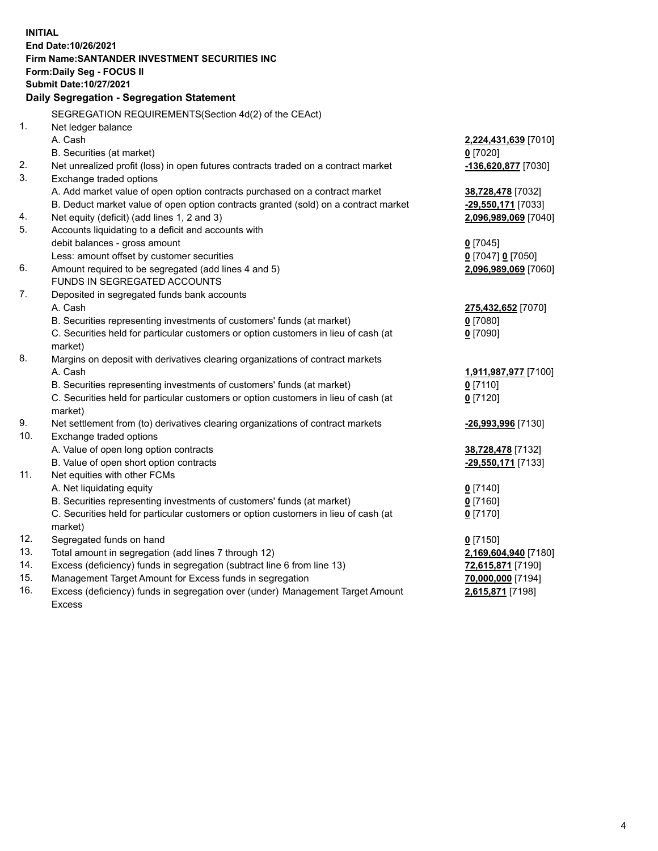| <b>INITIAL</b> |                                                                                     |                      |  |  |  |  |
|----------------|-------------------------------------------------------------------------------------|----------------------|--|--|--|--|
|                | End Date:10/26/2021                                                                 |                      |  |  |  |  |
|                | Firm Name: SANTANDER INVESTMENT SECURITIES INC                                      |                      |  |  |  |  |
|                | Form: Daily Seg - FOCUS II                                                          |                      |  |  |  |  |
|                | Submit Date: 10/27/2021                                                             |                      |  |  |  |  |
|                | Daily Segregation - Segregation Statement                                           |                      |  |  |  |  |
|                | SEGREGATION REQUIREMENTS(Section 4d(2) of the CEAct)                                |                      |  |  |  |  |
| 1.             | Net ledger balance                                                                  |                      |  |  |  |  |
|                | A. Cash                                                                             | 2,224,431,639 [7010] |  |  |  |  |
|                | B. Securities (at market)                                                           | $0$ [7020]           |  |  |  |  |
| 2.             | Net unrealized profit (loss) in open futures contracts traded on a contract market  | -136,620,877 [7030]  |  |  |  |  |
| 3.             | Exchange traded options                                                             |                      |  |  |  |  |
|                | A. Add market value of open option contracts purchased on a contract market         | 38,728,478 [7032]    |  |  |  |  |
|                | B. Deduct market value of open option contracts granted (sold) on a contract market | -29,550,171 [7033]   |  |  |  |  |
| 4.             | Net equity (deficit) (add lines 1, 2 and 3)                                         | 2,096,989,069 [7040] |  |  |  |  |
| 5.             | Accounts liquidating to a deficit and accounts with                                 |                      |  |  |  |  |
|                | debit balances - gross amount                                                       | $0$ [7045]           |  |  |  |  |
|                | Less: amount offset by customer securities                                          | 0 [7047] 0 [7050]    |  |  |  |  |
| 6.             | Amount required to be segregated (add lines 4 and 5)                                | 2,096,989,069 [7060] |  |  |  |  |
|                | FUNDS IN SEGREGATED ACCOUNTS                                                        |                      |  |  |  |  |
| 7.             | Deposited in segregated funds bank accounts                                         |                      |  |  |  |  |
|                | A. Cash                                                                             | 275,432,652 [7070]   |  |  |  |  |
|                | B. Securities representing investments of customers' funds (at market)              | $0$ [7080]           |  |  |  |  |
|                | C. Securities held for particular customers or option customers in lieu of cash (at | $0$ [7090]           |  |  |  |  |
|                | market)                                                                             |                      |  |  |  |  |
| 8.             | Margins on deposit with derivatives clearing organizations of contract markets      |                      |  |  |  |  |
|                | A. Cash                                                                             | 1,911,987,977 [7100] |  |  |  |  |
|                | B. Securities representing investments of customers' funds (at market)              | $0$ [7110]           |  |  |  |  |
|                | C. Securities held for particular customers or option customers in lieu of cash (at | $0$ [7120]           |  |  |  |  |
|                | market)                                                                             |                      |  |  |  |  |
| 9.             | Net settlement from (to) derivatives clearing organizations of contract markets     | -26,993,996 [7130]   |  |  |  |  |
| 10.            | Exchange traded options                                                             |                      |  |  |  |  |
|                | A. Value of open long option contracts                                              | 38,728,478 [7132]    |  |  |  |  |
|                | B. Value of open short option contracts                                             | -29,550,171 [7133]   |  |  |  |  |
| 11.            | Net equities with other FCMs                                                        |                      |  |  |  |  |
|                | A. Net liquidating equity                                                           | $0$ [7140]           |  |  |  |  |
|                | B. Securities representing investments of customers' funds (at market)              | $0$ [7160]           |  |  |  |  |
|                | C. Securities held for particular customers or option customers in lieu of cash (at | $0$ [7170]           |  |  |  |  |
|                | market)                                                                             |                      |  |  |  |  |
| 12.            | Segregated funds on hand                                                            | $0$ [7150]           |  |  |  |  |
| 13.            | Total amount in segregation (add lines 7 through 12)                                | 2,169,604,940 [7180] |  |  |  |  |
| 14.            | Excess (deficiency) funds in segregation (subtract line 6 from line 13)             | 72,615,871 [7190]    |  |  |  |  |
| 15.<br>16.     | Management Target Amount for Excess funds in segregation                            | 70,000,000 [7194]    |  |  |  |  |
|                | Excess (deficiency) funds in segregation over (under) Management Target Amount      | 2,615,871 [7198]     |  |  |  |  |
|                | Excess                                                                              |                      |  |  |  |  |